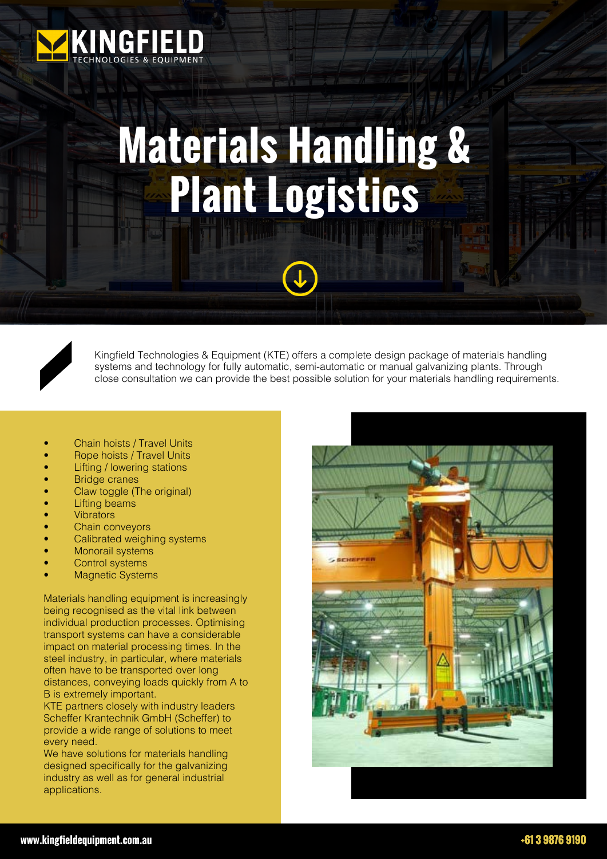

## **Materials Handling & Plant Logistics**



Kingfield Technologies & Equipment (KTE) offers a complete design package of materials handling systems and technology for fully automatic, semi-automatic or manual galvanizing plants. Through close consultation we can provide the best possible solution for your materials handling requirements.

- Chain hoists / Travel Units
- Rope hoists / Travel Units
- Lifting / lowering stations
- **Bridge cranes**
- Claw toggle (The original)
- **Lifting beams**
- **Vibrators**
- Chain conveyors
- Calibrated weighing systems
- Monorail systems
- Control systems
- **Magnetic Systems**

Materials handling equipment is increasingly being recognised as the vital link between individual production processes. Optimising transport systems can have a considerable impact on material processing times. In the steel industry, in particular, where materials often have to be transported over long distances, conveying loads quickly from A to B is extremely important.

KTE partners closely with industry leaders Scheffer Krantechnik GmbH (Scheffer) to provide a wide range of solutions to meet every need.

We have solutions for materials handling designed specifically for the galvanizing industry as well as for general industrial applications.